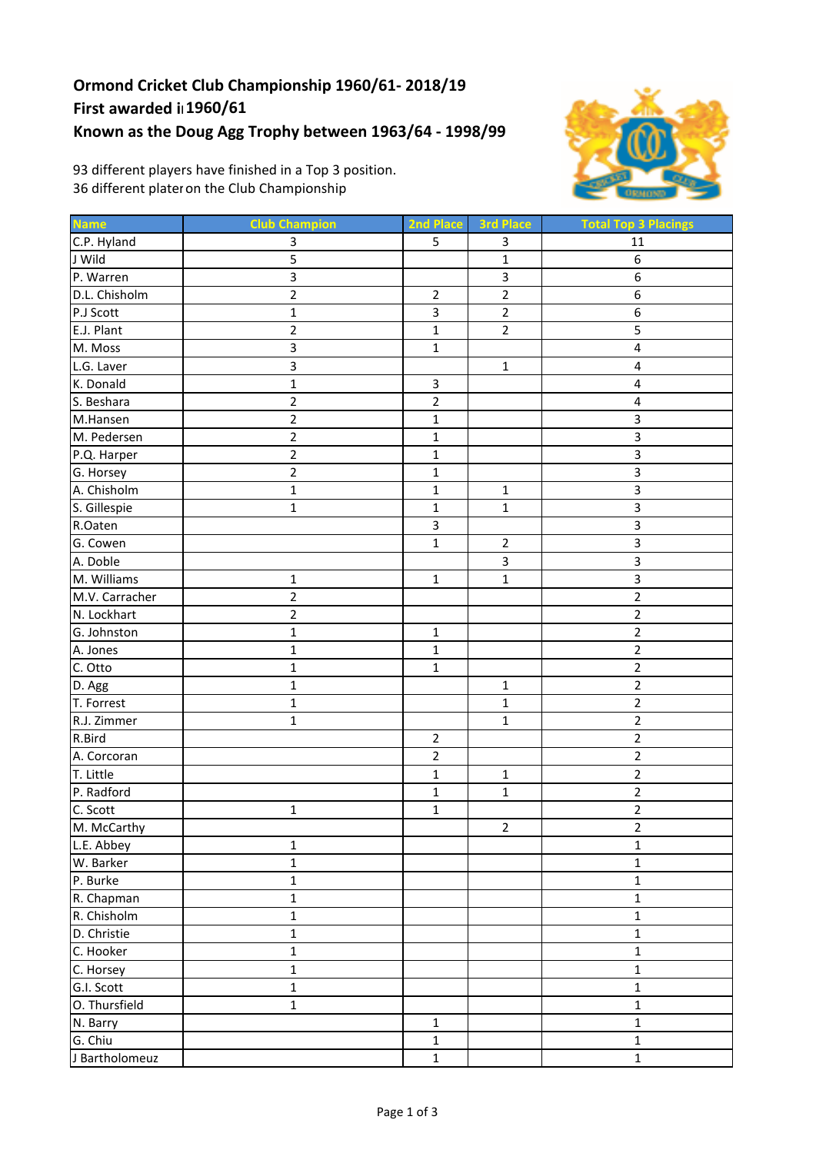## **Ormond Cricket Club Championship 1960/61‐ 2018/19 First awarded in1960/61 Known as the Doug Agg Trophy between 1963/64 ‐ 1998/99**



93 different players have finished in a Top 3 position. 36 different plateron the Club Championship

| <b>Name</b>    | <b>Club Champion</b> | 2nd Place               | <b>3rd Place</b> | <b>Total Top 3 Placings</b> |
|----------------|----------------------|-------------------------|------------------|-----------------------------|
| C.P. Hyland    | 3                    | 5                       | 3                | 11                          |
| J Wild         | 5                    |                         | $\mathbf 1$      | 6                           |
| P. Warren      | 3                    |                         | 3                | 6                           |
| D.L. Chisholm  | $\overline{2}$       | $\overline{2}$          | $\overline{2}$   | 6                           |
| P.J Scott      | $\mathbf{1}$         | $\overline{\mathbf{3}}$ | $\overline{2}$   | 6                           |
| E.J. Plant     | $\overline{2}$       | $\mathbf{1}$            | $\overline{2}$   | 5                           |
| M. Moss        | 3                    | $\mathbf{1}$            |                  | $\overline{\mathbf{4}}$     |
| L.G. Laver     | 3                    |                         | $\mathbf 1$      | $\pmb{4}$                   |
| K. Donald      | $\mathbf{1}$         | $\mathbf{3}$            |                  | 4                           |
| S. Beshara     | $\overline{2}$       | $\overline{2}$          |                  | $\overline{\mathbf{4}}$     |
| M.Hansen       | $\overline{2}$       | $\mathbf 1$             |                  | 3                           |
| M. Pedersen    | $\overline{2}$       | $\mathbf 1$             |                  | 3                           |
| P.Q. Harper    | $\overline{2}$       | $\mathbf 1$             |                  | 3                           |
| G. Horsey      | $\overline{2}$       | $\mathbf{1}$            |                  | 3                           |
| A. Chisholm    | $\mathbf{1}$         | $\mathbf 1$             | $\mathbf 1$      | $\overline{\mathbf{3}}$     |
| S. Gillespie   | $\mathbf{1}$         | $\mathbf{1}$            | $\mathbf 1$      | 3                           |
| R.Oaten        |                      | $\overline{3}$          |                  | 3                           |
| G. Cowen       |                      | $\mathbf 1$             | $\overline{2}$   | 3                           |
| A. Doble       |                      |                         | $\overline{3}$   | 3                           |
| M. Williams    | $\mathbf 1$          | $\mathbf{1}$            | $\mathbf{1}$     | 3                           |
| M.V. Carracher | $\overline{2}$       |                         |                  | $\overline{2}$              |
| N. Lockhart    | $\overline{2}$       |                         |                  | $\overline{2}$              |
| G. Johnston    | $\mathbf{1}$         | $\mathbf{1}$            |                  | $\mathbf 2$                 |
| A. Jones       | $\mathbf 1$          | $\mathbf{1}$            |                  | $\overline{2}$              |
| C. Otto        | $\mathbf{1}$         | $\mathbf{1}$            |                  | $\overline{2}$              |
| D. Agg         | $\mathbf{1}$         |                         | $\mathbf 1$      | $\overline{2}$              |
| T. Forrest     | $\mathbf{1}$         |                         | $\mathbf{1}$     | $\mathbf 2$                 |
| R.J. Zimmer    | $\mathbf{1}$         |                         | $\mathbf{1}$     | $\overline{2}$              |
| R.Bird         |                      | $\overline{2}$          |                  | $\mathbf 2$                 |
| A. Corcoran    |                      | $\overline{2}$          |                  | $\mathbf 2$                 |
| T. Little      |                      | $\mathbf{1}$            | $\mathbf{1}$     | $\overline{2}$              |
| P. Radford     |                      | $\mathbf{1}$            | $\mathbf{1}$     | $\overline{2}$              |
| C. Scott       | $\mathbf 1$          | $\mathbf 1$             |                  | $\overline{2}$              |
| M. McCarthy    |                      |                         | $\overline{2}$   | $\overline{2}$              |
| L.E. Abbey     | $\mathbf 1$          |                         |                  | $\mathbf 1$                 |
| W. Barker      | $\mathbf{1}$         |                         |                  | $\mathbf{1}$                |
| P. Burke       | $\mathbf 1$          |                         |                  | $\mathbf 1$                 |
| R. Chapman     | $\mathbf 1$          |                         |                  | $\mathbf 1$                 |
| R. Chisholm    | $\mathbf{1}$         |                         |                  | $\mathbf 1$                 |
| D. Christie    | $\mathbf 1$          |                         |                  | $\mathbf 1$                 |
| C. Hooker      | $\mathbf 1$          |                         |                  | $\mathbf 1$                 |
| C. Horsey      | $\mathbf{1}$         |                         |                  | $\mathbf{1}$                |
| G.I. Scott     | $\mathbf 1$          |                         |                  | $\mathbf 1$                 |
| O. Thursfield  | $\mathbf{1}$         |                         |                  | $\mathbf 1$                 |
| N. Barry       |                      | $\mathbf 1$             |                  | $\mathbf 1$                 |
| G. Chiu        |                      | $\mathbf 1$             |                  | $\mathbf 1$                 |
| J Bartholomeuz |                      | $\mathbf 1$             |                  | $\mathbf 1$                 |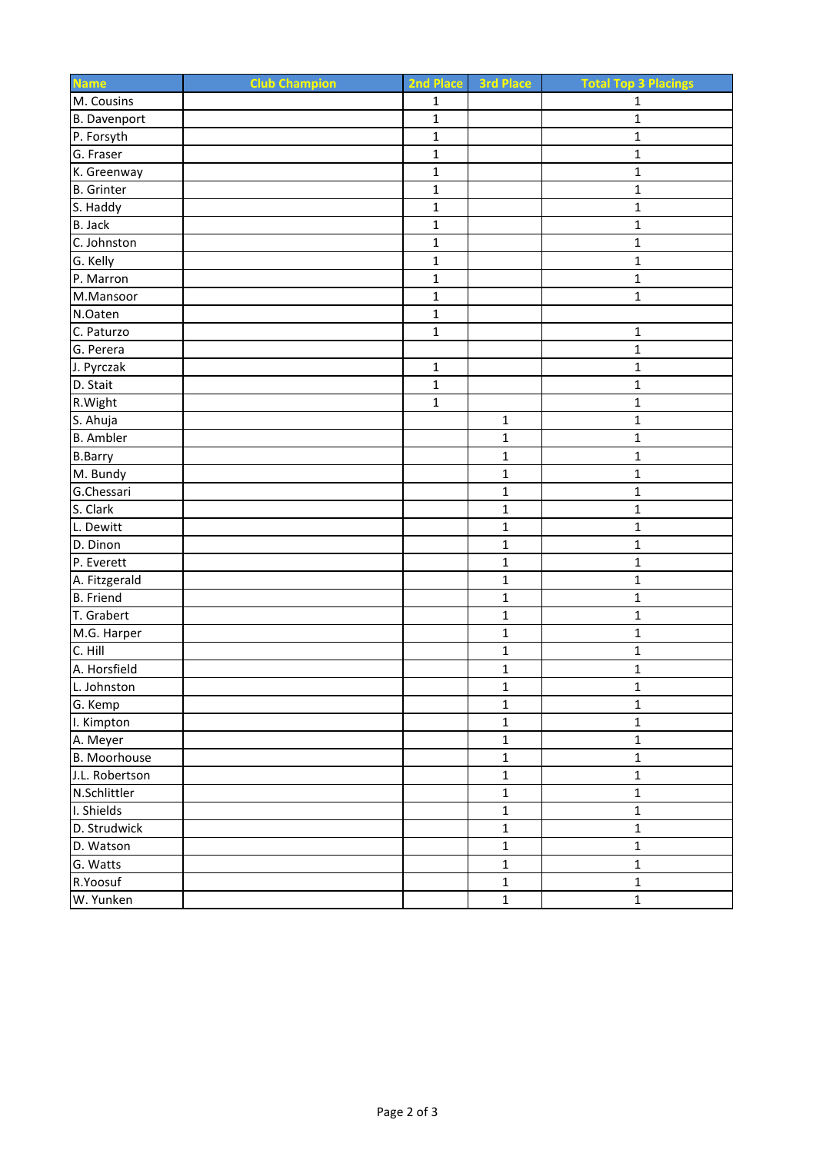| <b>Name</b>       | <b>Club Champion</b> | 2nd Place    | 3rd Place      | <b>Total Top 3 Placings</b> |
|-------------------|----------------------|--------------|----------------|-----------------------------|
| M. Cousins        |                      | $\mathbf{1}$ |                | $\mathbf{1}$                |
| B. Davenport      |                      | $\mathbf{1}$ |                | $\mathbf{1}$                |
| P. Forsyth        |                      | $\mathbf{1}$ |                | $\mathbf{1}$                |
| G. Fraser         |                      | $\mathbf 1$  |                | $\mathbf 1$                 |
| K. Greenway       |                      | $\mathbf{1}$ |                | $\mathbf{1}$                |
| <b>B.</b> Grinter |                      | $\mathbf{1}$ |                | $\mathbf 1$                 |
| S. Haddy          |                      | $\mathbf 1$  |                | $\mathbf 1$                 |
| B. Jack           |                      | $\mathbf{1}$ |                | $\mathbf{1}$                |
| C. Johnston       |                      | $\mathbf 1$  |                | $\mathbf{1}$                |
| G. Kelly          |                      | $\mathbf{1}$ |                | $\mathbf{1}$                |
| P. Marron         |                      | $\mathbf{1}$ |                | $\mathbf{1}$                |
| M.Mansoor         |                      | $\mathbf{1}$ |                | $\mathbf 1$                 |
| N.Oaten           |                      | $\mathbf 1$  |                |                             |
| C. Paturzo        |                      | $\mathbf{1}$ |                | $\mathbf{1}$                |
| G. Perera         |                      |              |                | $\mathbf 1$                 |
| J. Pyrczak        |                      | $\mathbf{1}$ |                | $\mathbf{1}$                |
| D. Stait          |                      | $\mathbf{1}$ |                | $\mathbf{1}$                |
| R. Wight          |                      | $\mathbf{1}$ |                | $\mathbf 1$                 |
| S. Ahuja          |                      |              | 1              | $\mathbf{1}$                |
| <b>B.</b> Ambler  |                      |              | $\mathbf 1$    | $\mathbf 1$                 |
| <b>B.Barry</b>    |                      |              | $\mathbf{1}$   | $\mathbf 1$                 |
| M. Bundy          |                      |              | $\mathbf{1}$   | $\mathbf{1}$                |
| G.Chessari        |                      |              | $\mathbf{1}$   | $\mathbf{1}$                |
| S. Clark          |                      |              | $\mathbf{1}$   | $\mathbf 1$                 |
| L. Dewitt         |                      |              | $\mathbf 1$    | $\mathbf 1$                 |
| D. Dinon          |                      |              | $\mathbf{1}$   | $\mathbf{1}$                |
| P. Everett        |                      |              | 1              | $\mathbf 1$                 |
| A. Fitzgerald     |                      |              | $\mathbf{1}$   | $\mathbf{1}$                |
| <b>B.</b> Friend  |                      |              | $\mathbf 1$    | $\mathbf 1$                 |
| T. Grabert        |                      |              | $\mathbf 1$    | $\mathbf{1}$                |
| M.G. Harper       |                      |              | $\mathbf 1$    | $\mathbf 1$                 |
| C. Hill           |                      |              | $\mathbf 1$    | $\mathbf 1$                 |
| A. Horsfield      |                      |              | $\mathbf 1$    | $\mathbf 1$                 |
| L. Johnston       |                      |              | $\mathbf{1}$   | $\mathbf{1}$                |
| G. Kemp           |                      |              | $\mathbf 1$    | $\mathbf 1$                 |
| I. Kimpton        |                      |              | $\mathbf 1$    | $\mathbf 1$                 |
| A. Meyer          |                      |              | $\mathbf{1}$   | $\mathbf 1$                 |
| B. Moorhouse      |                      |              | $\mathbf 1$    | $\mathbf 1$                 |
| J.L. Robertson    |                      |              | $\mathbf 1$    | $\mathbf 1$                 |
| N.Schlittler      |                      |              | $\mathbf 1$    | $\mathbf 1$                 |
| I. Shields        |                      |              | $\mathbf 1$    | $\mathbf 1$                 |
| D. Strudwick      |                      |              | $\mathbf 1$    | $\mathbf 1$                 |
| D. Watson         |                      |              | $\overline{1}$ | $\overline{1}$              |
| G. Watts          |                      |              | $\mathbf 1$    | $\mathbf 1$                 |
| R.Yoosuf          |                      |              | $\mathbf 1$    | $\mathbf 1$                 |
| W. Yunken         |                      |              | $\mathbf 1$    | $\mathbf 1$                 |